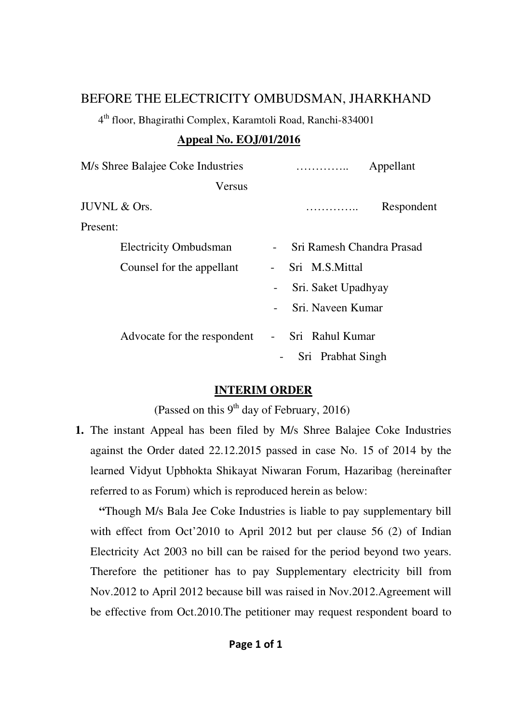## BEFORE THE ELECTRICITY OMBUDSMAN, JHARKHAND

4 th floor, Bhagirathi Complex, Karamtoli Road, Ranchi-834001

## **Appeal No. EOJ/01/2016**

| M/s Shree Balajee Coke Industries |                          | .                         | Appellant  |
|-----------------------------------|--------------------------|---------------------------|------------|
| Versus                            |                          |                           |            |
| JUVNL & Ors.                      |                          | .                         | Respondent |
| Present:                          |                          |                           |            |
| <b>Electricity Ombudsman</b>      |                          | Sri Ramesh Chandra Prasad |            |
| Counsel for the appellant         |                          | Sri M.S.Mittal            |            |
|                                   | -                        | Sri. Saket Upadhyay       |            |
|                                   | $\blacksquare$           | Sri. Naveen Kumar         |            |
| Advocate for the respondent       | $\overline{\phantom{a}}$ | Sri Rahul Kumar           |            |
|                                   | $\overline{\phantom{a}}$ | Sri Prabhat Singh         |            |

## **INTERIM ORDER**

(Passed on this  $9<sup>th</sup>$  day of February, 2016)

**1.** The instant Appeal has been filed by M/s Shree Balajee Coke Industries against the Order dated 22.12.2015 passed in case No. 15 of 2014 by the learned Vidyut Upbhokta Shikayat Niwaran Forum, Hazaribag (hereinafter referred to as Forum) which is reproduced herein as below:

 **"**Though M/s Bala Jee Coke Industries is liable to pay supplementary bill with effect from Oct'2010 to April 2012 but per clause 56 (2) of Indian Electricity Act 2003 no bill can be raised for the period beyond two years. Therefore the petitioner has to pay Supplementary electricity bill from Nov.2012 to April 2012 because bill was raised in Nov.2012.Agreement will be effective from Oct.2010.The petitioner may request respondent board to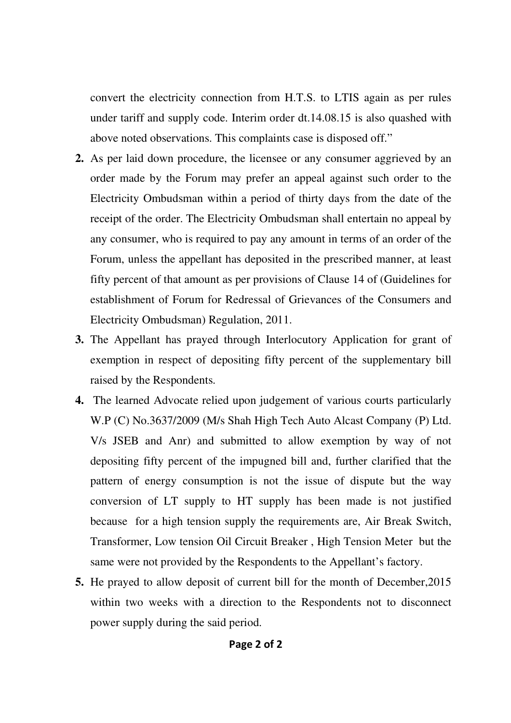convert the electricity connection from H.T.S. to LTIS again as per rules under tariff and supply code. Interim order dt.14.08.15 is also quashed with above noted observations. This complaints case is disposed off."

- **2.** As per laid down procedure, the licensee or any consumer aggrieved by an order made by the Forum may prefer an appeal against such order to the Electricity Ombudsman within a period of thirty days from the date of the receipt of the order. The Electricity Ombudsman shall entertain no appeal by any consumer, who is required to pay any amount in terms of an order of the Forum, unless the appellant has deposited in the prescribed manner, at least fifty percent of that amount as per provisions of Clause 14 of (Guidelines for establishment of Forum for Redressal of Grievances of the Consumers and Electricity Ombudsman) Regulation, 2011.
- **3.** The Appellant has prayed through Interlocutory Application for grant of exemption in respect of depositing fifty percent of the supplementary bill raised by the Respondents.
- **4.** The learned Advocate relied upon judgement of various courts particularly W.P (C) No.3637/2009 (M/s Shah High Tech Auto Alcast Company (P) Ltd. V/s JSEB and Anr) and submitted to allow exemption by way of not depositing fifty percent of the impugned bill and, further clarified that the pattern of energy consumption is not the issue of dispute but the way conversion of LT supply to HT supply has been made is not justified because for a high tension supply the requirements are, Air Break Switch, Transformer, Low tension Oil Circuit Breaker , High Tension Meter but the same were not provided by the Respondents to the Appellant's factory.
- **5.** He prayed to allow deposit of current bill for the month of December,2015 within two weeks with a direction to the Respondents not to disconnect power supply during the said period.